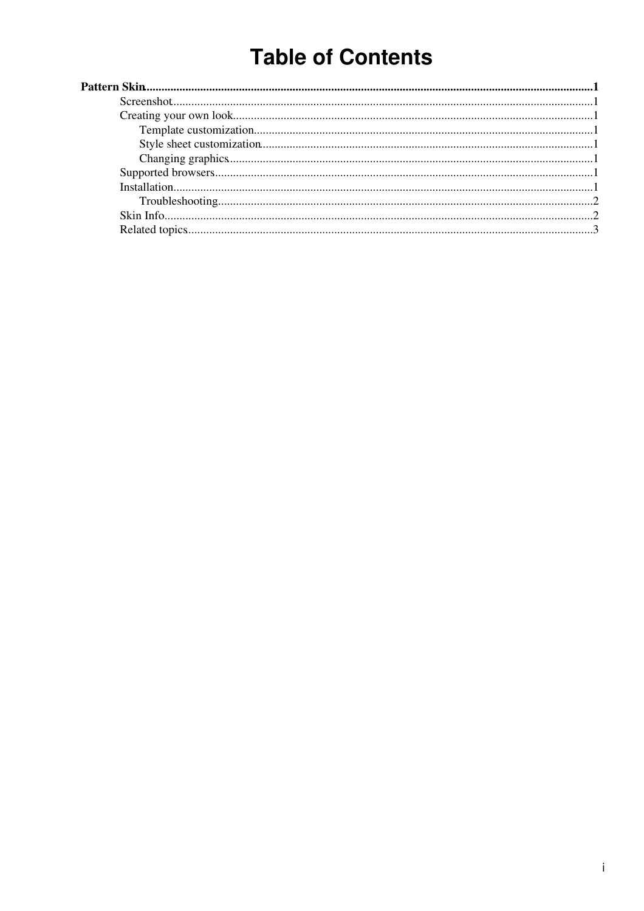# **Table of Contents**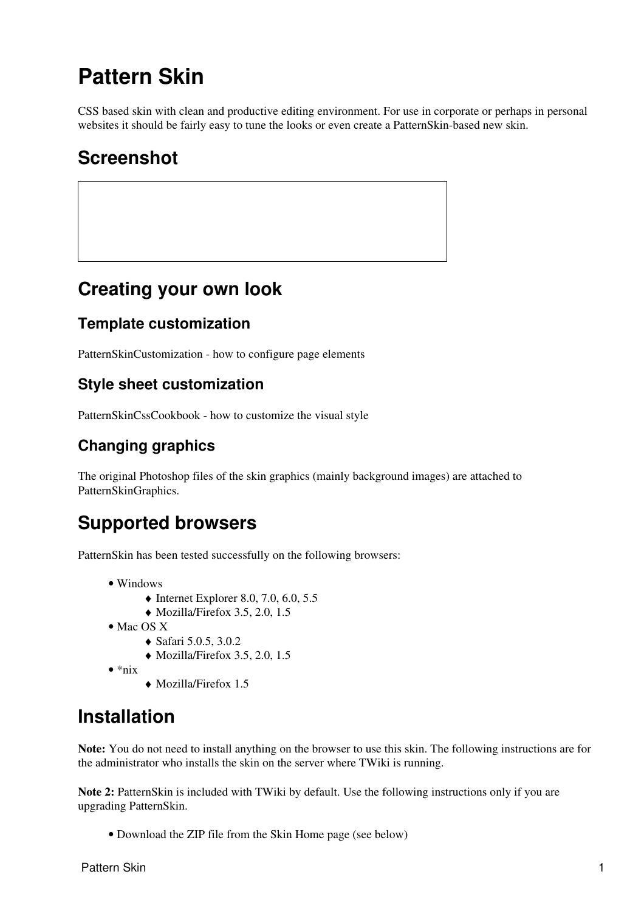## <span id="page-1-0"></span>**Pattern Skin**

CSS based skin with clean and productive editing environment. For use in corporate or perhaps in personal websites it should be fairly easy to tune the looks or even create a PatternSkin-based new skin.

### <span id="page-1-1"></span>**Screenshot**

### <span id="page-1-2"></span>**Creating your own look**

#### <span id="page-1-3"></span>**Template customization**

[PatternSkinCustomization](https://twiki.cern.ch/twiki/bin/view/TWiki/PatternSkinCustomization) - how to configure page elements

#### <span id="page-1-4"></span>**Style sheet customization**

[PatternSkinCssCookbook](https://twiki.cern.ch/twiki/bin/view/TWiki/PatternSkinCssCookbook) - how to customize the visual style

#### <span id="page-1-5"></span>**Changing graphics**

The original Photoshop files of the skin graphics (mainly background images) are attached to PatternSkinGraphics.

### <span id="page-1-6"></span>**Supported browsers**

PatternSkin has been tested successfully on the following browsers:

- Windows
	- $\triangleleft$  Internet Explorer 8.0, 7.0, 6.0, 5.5
	- $\bullet$  Mozilla/Firefox 3.5, 2.0, 1.5
- Mac OS X
	- ♦ Safari 5.0.5, 3.0.2
	- $\blacklozenge$  Mozilla/Firefox 3.5, 2.0, 1.5
- $\bullet *$ nix
- ♦ Mozilla/Firefox 1.5

### <span id="page-1-7"></span>**Installation**

**Note:** You do not need to install anything on the browser to use this skin. The following instructions are for the administrator who installs the skin on the server where TWiki is running.

**Note 2:** PatternSkin is included with TWiki by default. Use the following instructions only if you are upgrading PatternSkin.

• Download the ZIP file from the Skin Home page (see below)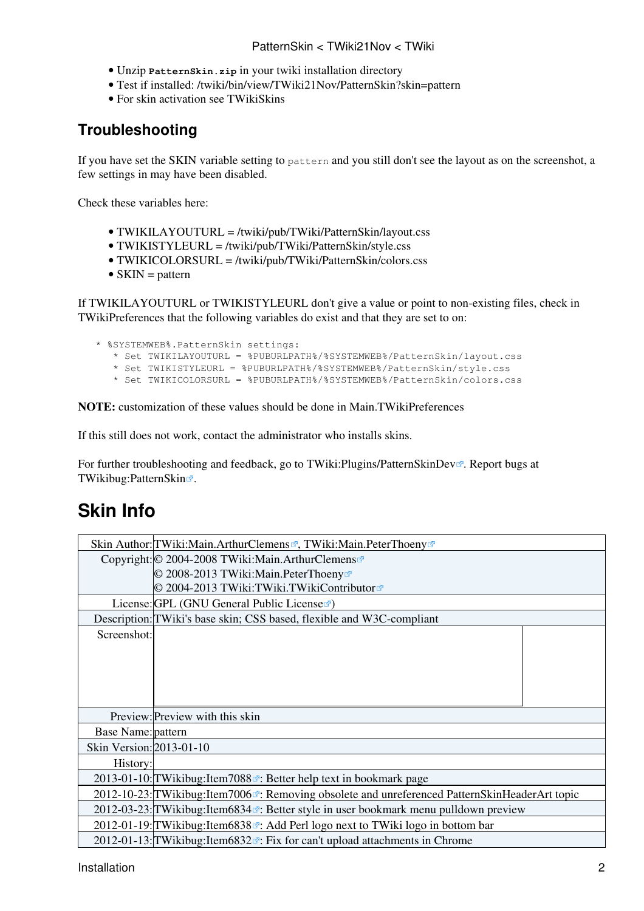#### PatternSkin < TWiki21Nov < TWiki

- Unzip **PatternSkin.zip** in your twiki installation directory
- Test if installed: /twiki/bin/view/TWiki21Nov/PatternSkin?skin=pattern
- For skin activation see [TWikiSkins](https://twiki.cern.ch/twiki/bin/view/TWiki/TWikiSkins)

#### <span id="page-2-0"></span>**Troubleshooting**

If you have set the SKIN variable setting to pattern and you still don't see the layout as on the [screenshot,](https://twiki.cern.ch/twiki/pub/TWiki21Nov/PatternSkin/patternskin_screenshot_full.png) a few settings in may have been disabled.

Check these variables here:

- TWIKILAYOUTURL = /twiki/pub/TWiki/PatternSkin/layout.css
- TWIKISTYLEURL = /twiki/pub/TWiki/PatternSkin/style.css
- TWIKICOLORSURL = /twiki/pub/TWiki/PatternSkin/colors.css
- $SKIN =$  pattern

If TWIKILAYOUTURL or TWIKISTYLEURL don't give a value or point to non-existing files, check in [TWikiPreferences](https://twiki.cern.ch/twiki/bin/view/TWiki/TWikiPreferences) that the following variables do exist and that they are set to on:

- \* %SYSTEMWEB%.PatternSkin settings:
	- \* Set TWIKILAYOUTURL = %PUBURLPATH%/%SYSTEMWEB%/PatternSkin/layout.css
	- \* Set TWIKISTYLEURL = %PUBURLPATH%/%SYSTEMWEB%/PatternSkin/style.css
	- \* Set TWIKICOLORSURL = %PUBURLPATH%/%SYSTEMWEB%/PatternSkin/colors.css

**NOTE:** customization of these values should be done in [Main.TWikiPreferences](https://twiki.cern.ch/twiki/bin/view/Main/TWikiPreferences)

If this still does not work, contact the administrator who installs skins.

For further troubleshooting and feedback, go to TWiki: Plugins/PatternSkinDev $\mathbb{Z}$ . Report bugs at [TWikibug:PatternSkin](http://develop.twiki.org/~twiki4/cgi-bin/view/Bugs/PatternSkin)<sup>®</sup>.

### <span id="page-2-1"></span>**Skin Info**

| Skin Author: TWiki: Main. Arthur Clemens <sup>3</sup> , TWiki: Main. Peter Thoeny <sup>3</sup>                       |  |  |
|----------------------------------------------------------------------------------------------------------------------|--|--|
| Copyright: © 2004-2008 TWiki: Main. Arthur Clemens                                                                   |  |  |
| © 2008-2013 TWiki:Main.PeterThoeny&                                                                                  |  |  |
| © 2004-2013 TWiki:TWiki.TWikiContributor <sup>®</sup>                                                                |  |  |
| License: GPL (GNU General Public Licensera)                                                                          |  |  |
| Description: TWiki's base skin; CSS based, flexible and W3C-compliant                                                |  |  |
| Screenshot:                                                                                                          |  |  |
|                                                                                                                      |  |  |
|                                                                                                                      |  |  |
|                                                                                                                      |  |  |
|                                                                                                                      |  |  |
| Preview: Preview with this skin                                                                                      |  |  |
| <b>Base Name:</b> pattern                                                                                            |  |  |
| Skin Version: 2013-01-10                                                                                             |  |  |
| History:                                                                                                             |  |  |
| 2013-01-10: TWikibug: Item 7088 <sup><math>\alpha</math></sup> : Better help text in bookmark page                   |  |  |
| 2012-10-23: TWikibug: Item 7006 <sup>®</sup> : Removing obsolete and unreferenced Pattern Skin Header Art topic      |  |  |
| 2012-03-23: TWikibug: Item 6834 <sup><math>\sigma</math></sup> : Better style in user bookmark menu pulldown preview |  |  |
| 2012-01-19: TWikibug: Item 6838 <sup>®</sup> : Add Perl logo next to TWiki logo in bottom bar                        |  |  |
| 2012-01-13: TWikibug: Item6832 <sup><math>x</math></sup> : Fix for can't upload attachments in Chrome                |  |  |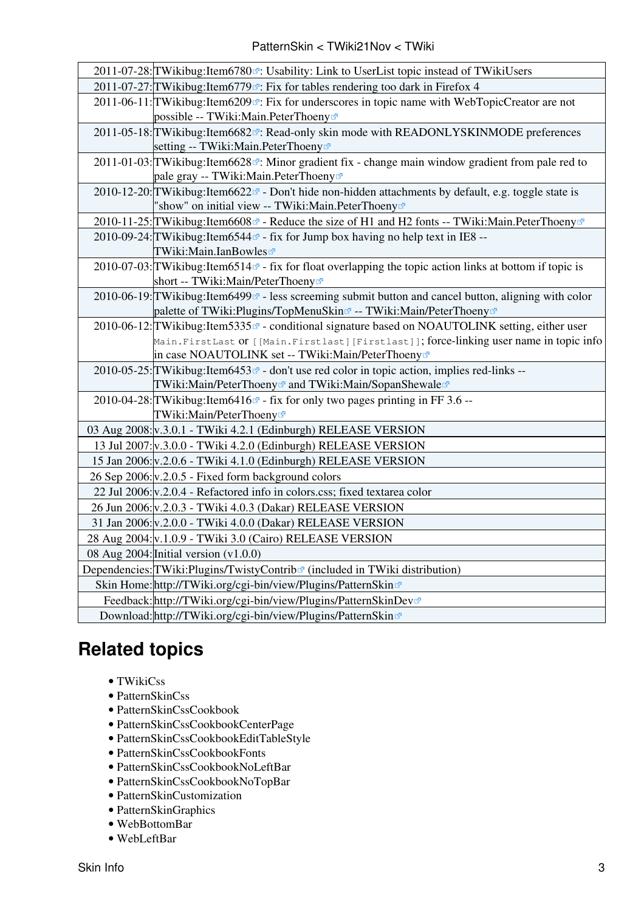| 2011-07-28: TWikibug: Item6780 <sup>a</sup> : Usability: Link to UserList topic instead of TWikiUsers                              |
|------------------------------------------------------------------------------------------------------------------------------------|
| 2011-07-27: TWikibug: Item 6779 <sup>®</sup> : Fix for tables rendering too dark in Firefox 4                                      |
| 2011-06-11: TWikibug: Item6209 <sup>®</sup> : Fix for underscores in topic name with WebTopicCreator are not                       |
| possible -- TWiki:Main.PeterThoeny <sup>®</sup>                                                                                    |
| 2011-05-18: TWikibug: Item6682 <sup>®</sup> : Read-only skin mode with READONLYSKINMODE preferences                                |
| setting -- TWiki:Main.PeterThoeny®                                                                                                 |
| 2011-01-03: TWikibug: Item 6628 <sup><math>\alpha</math></sup> : Minor gradient fix - change main window gradient from pale red to |
| pale gray -- TWiki:Main.PeterThoeny <sup>®</sup>                                                                                   |
| 2010-12-20: TWikibug: Item6622 <sup><math>\alpha</math></sup> - Don't hide non-hidden attachments by default, e.g. toggle state is |
| "show" on initial view -- TWiki:Main.PeterThoeny <sup>®</sup>                                                                      |
| 2010-11-25: TWikibug: Item 6608 ª - Reduce the size of H1 and H2 fonts -- TWiki: Main. Peter Thoeny ª                              |
| 2010-09-24: TWikibug: Item 6544 <sup>a</sup> - fix for Jump box having no help text in IE8 --                                      |
| TWiki:Main.IanBowles                                                                                                               |
| 2010-07-03: TWikibug: Item 6514 $\sigma$ - fix for float overlapping the topic action links at bottom if topic is                  |
| short -- TWiki:Main/PeterThoeny <sup>®</sup>                                                                                       |
| 2010-06-19: TWikibug: Item6499 <sup>®</sup> - less screeming submit button and cancel button, aligning with color                  |
| palette of TWiki:Plugins/TopMenuSkin¤ -- TWiki:Main/PeterThoeny                                                                    |
| 2010-06-12: TWikibug: Item 5335 a - conditional signature based on NOAUTOLINK setting, either user                                 |
| Main.FirstLast Of [[Main.Firstlast][Firstlast]]; force-linking user name in topic info                                             |
| in case NOAUTOLINK set -- TWiki:Main/PeterThoeny <sup>®</sup>                                                                      |
| 2010-05-25: TWikibug: Item6453 <sup>®</sup> - don't use red color in topic action, implies red-links --                            |
| TWiki:Main/PeterThoeny@and TWiki:Main/SopanShewale@                                                                                |
| 2010-04-28: TWikibug: Item 6416 ø - fix for only two pages printing in FF 3.6 --                                                   |
| TWiki:Main/PeterThoeny <sup>®</sup>                                                                                                |
| 03 Aug 2008: v.3.0.1 - TWiki 4.2.1 (Edinburgh) RELEASE VERSION                                                                     |
| 13 Jul 2007: v.3.0.0 - TWiki 4.2.0 (Edinburgh) RELEASE VERSION                                                                     |
| 15 Jan 2006: v.2.0.6 - TWiki 4.1.0 (Edinburgh) RELEASE VERSION                                                                     |
| 26 Sep 2006: v.2.0.5 - Fixed form background colors                                                                                |
| 22 Jul 2006: v.2.0.4 - Refactored info in colors.css; fixed textarea color                                                         |
| 26 Jun 2006: v.2.0.3 - TWiki 4.0.3 (Dakar) RELEASE VERSION                                                                         |
| 31 Jan 2006: v.2.0.0 - TWiki 4.0.0 (Dakar) RELEASE VERSION                                                                         |
| 28 Aug 2004: v.1.0.9 - TWiki 3.0 (Cairo) RELEASE VERSION                                                                           |
| 08 Aug 2004: Initial version $(v1.0.0)$                                                                                            |
| Dependencies: TWiki: Plugins/Twisty Contrib <sup>®</sup> (included in TWiki distribution)                                          |
| Skin Home: http://TWiki.org/cgi-bin/view/Plugins/PatternSkin                                                                       |
| Feedback: http://TWiki.org/cgi-bin/view/Plugins/PatternSkinDev                                                                     |
| Download: http://TWiki.org/cgi-bin/view/Plugins/PatternSkin&                                                                       |

## <span id="page-3-0"></span>**Related topics**

- [TWikiCss](https://twiki.cern.ch/twiki/bin/view/TWiki/TWikiCss)
- [PatternSkinCss](https://twiki.cern.ch/twiki/bin/view/TWiki/PatternSkinCss)
- [PatternSkinCssCookbook](https://twiki.cern.ch/twiki/bin/view/TWiki/PatternSkinCssCookbook)
- [PatternSkinCssCookbookCenterPage](https://twiki.cern.ch/twiki/bin/view/TWiki/PatternSkinCssCookbookCenterPage)
- [PatternSkinCssCookbookEditTableStyle](https://twiki.cern.ch/twiki/bin/view/TWiki/PatternSkinCssCookbookEditTableStyle)
- [PatternSkinCssCookbookFonts](https://twiki.cern.ch/twiki/bin/view/TWiki/PatternSkinCssCookbookFonts)
- [PatternSkinCssCookbookNoLeftBar](https://twiki.cern.ch/twiki/bin/view/TWiki/PatternSkinCssCookbookNoLeftBar)
- [PatternSkinCssCookbookNoTopBar](https://twiki.cern.ch/twiki/bin/view/TWiki/PatternSkinCssCookbookNoTopBar)
- [PatternSkinCustomization](https://twiki.cern.ch/twiki/bin/view/TWiki/PatternSkinCustomization)
- [PatternSkinGraphics](https://twiki.cern.ch/twiki/bin/view/TWiki/PatternSkinGraphics)
- [WebBottomBar](https://twiki.cern.ch/twiki/bin/view/TWiki/WebBottomBar)
- [WebLeftBar](https://twiki.cern.ch/twiki/bin/view/TWiki/WebLeftBar)